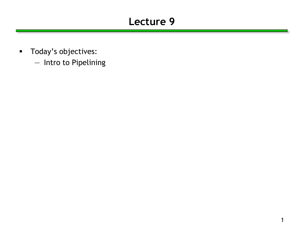### **Lecture 9**

- **Today's objectives:** 
	- Intro to Pipelining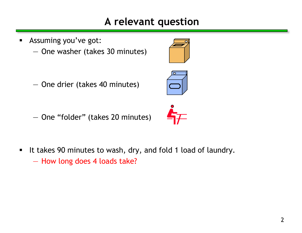#### **A relevant question**

Assuming you've got:

— One washer (takes 30 minutes)

— One drier (takes 40 minutes)

— One "folder" (takes 20 minutes)

It takes 90 minutes to wash, dry, and fold 1 load of laundry. — How long does 4 loads take?





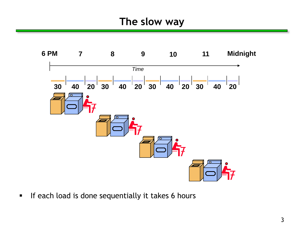

If each load is done sequentially it takes 6 hours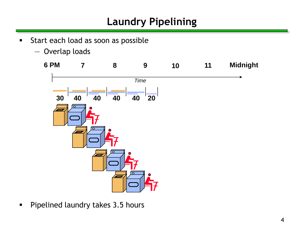## **Laundry Pipelining**

- **Start each load as soon as possible** 
	- Overlap loads



**Pipelined laundry takes 3.5 hours**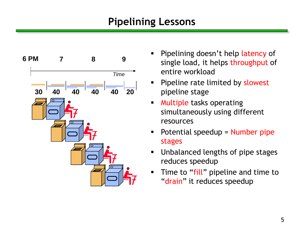### **Pipelining Lessons**



- Pipelining doesn't help latency of single load, it helps throughput of entire workload
- **Pipeline rate limited by slowest** pipeline stage
- **Multiple tasks operating** simultaneously using different resources
- **Potential speedup = Number pipe** stages
- **Unbalanced lengths of pipe stages** reduces speedup
- Time to "fill" pipeline and time to "drain" it reduces speedup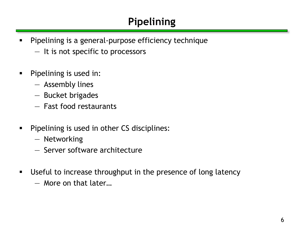# **Pipelining**

- **Pipelining is a general-purpose efficiency technique** 
	- It is not specific to processors
- **Pipelining is used in:** 
	- Assembly lines
	- Bucket brigades
	- Fast food restaurants
- **Pipelining is used in other CS disciplines:** 
	- Networking
	- Server software architecture
- **Useful to increase throughput in the presence of long latency** 
	- More on that later…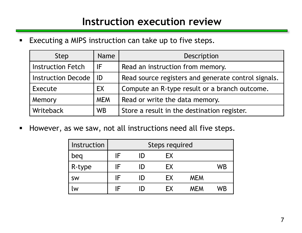#### **Instruction execution review**

**Executing a MIPS instruction can take up to five steps.** 

| <b>Step</b>               | <b>Name</b> | Description                                         |  |  |  |
|---------------------------|-------------|-----------------------------------------------------|--|--|--|
| <b>Instruction Fetch</b>  | IF          | Read an instruction from memory.                    |  |  |  |
| <b>Instruction Decode</b> | ID          | Read source registers and generate control signals. |  |  |  |
| Execute                   | EX          | Compute an R-type result or a branch outcome.       |  |  |  |
| Memory                    | <b>MEM</b>  | Read or write the data memory.                      |  |  |  |
| Writeback                 | <b>WB</b>   | Store a result in the destination register.         |  |  |  |

However, as we saw, not all instructions need all five steps.

| Instruction | Steps required |     |           |            |    |  |  |  |
|-------------|----------------|-----|-----------|------------|----|--|--|--|
| beq         | IF             | ID  | EX        |            |    |  |  |  |
| R-type      | IF             | I)  | EX        |            | WB |  |  |  |
| <b>SW</b>   | IF             | ID) | FX.       | <b>MEM</b> |    |  |  |  |
| W           |                |     | <b>FX</b> | <b>MEM</b> | WB |  |  |  |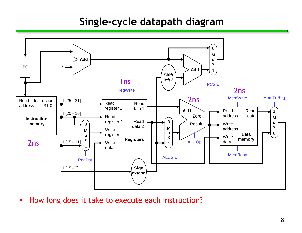#### **Single-cycle datapath diagram**



How long does it take to execute each instruction?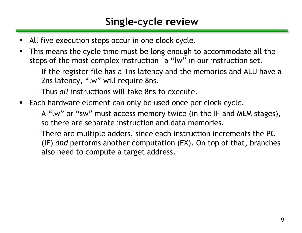#### **Single-cycle review**

- All five execution steps occur in one clock cycle.
- **This means the cycle time must be long enough to accommodate all the** steps of the most complex instruction—a "lw" in our instruction set.
	- If the register file has a 1ns latency and the memories and ALU have a 2ns latency, "lw" will require 8ns.
	- Thus *all* instructions will take 8ns to execute.
- **Each hardware element can only be used once per clock cycle.** 
	- A "lw" or "sw" must access memory twice (in the IF and MEM stages), so there are separate instruction and data memories.
	- There are multiple adders, since each instruction increments the PC (IF) *and* performs another computation (EX). On top of that, branches also need to compute a target address.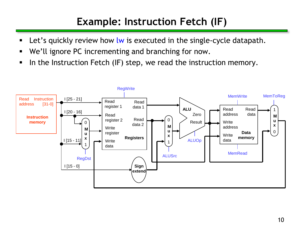## **Example: Instruction Fetch (IF)**

- Let's quickly review how lw is executed in the single-cycle datapath.
- We'll ignore PC incrementing and branching for now.
- In the Instruction Fetch (IF) step, we read the instruction memory.

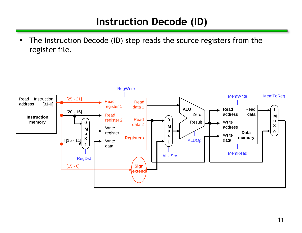### **Instruction Decode (ID)**

**The Instruction Decode (ID) step reads the source registers from the** register file.

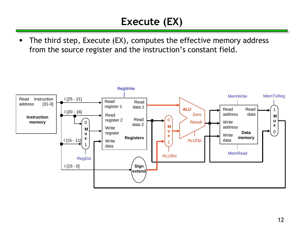## **Execute (EX)**

**The third step, Execute (EX), computes the effective memory address** from the source register and the instruction's constant field.

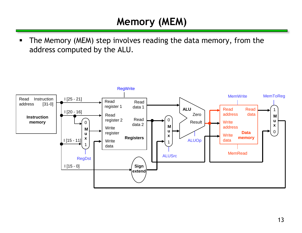## **Memory (MEM)**

**The Memory (MEM) step involves reading the data memory, from the** address computed by the ALU.

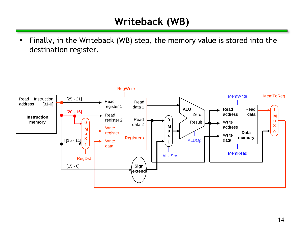## **Writeback (WB)**

 Finally, in the Writeback (WB) step, the memory value is stored into the destination register.

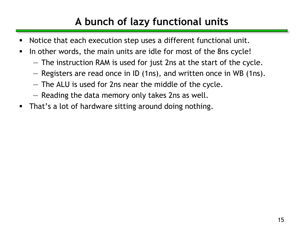## **A bunch of lazy functional units**

- Notice that each execution step uses a different functional unit.
- In other words, the main units are idle for most of the 8ns cycle!
	- The instruction RAM is used for just 2ns at the start of the cycle.
	- Registers are read once in ID (1ns), and written once in WB (1ns).
	- The ALU is used for 2ns near the middle of the cycle.
	- Reading the data memory only takes 2ns as well.
- **That's a lot of hardware sitting around doing nothing.**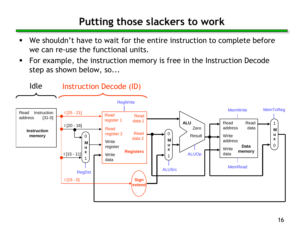#### **Putting those slackers to work**

- We shouldn't have to wait for the entire instruction to complete before we can re-use the functional units.
- For example, the instruction memory is free in the Instruction Decode step as shown below, so...

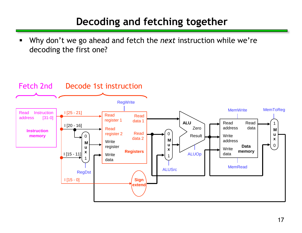## **Decoding and fetching together**

 Why don't we go ahead and fetch the *next* instruction while we're decoding the first one?

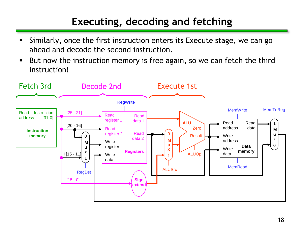## **Executing, decoding and fetching**

- Similarly, once the first instruction enters its Execute stage, we can go ahead and decode the second instruction.
- But now the instruction memory is free again, so we can fetch the third instruction!

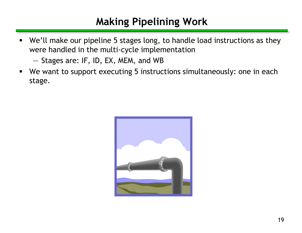## **Making Pipelining Work**

- We'll make our pipeline 5 stages long, to handle load instructions as they were handled in the multi-cycle implementation
	- Stages are: IF, ID, EX, MEM, and WB
- We want to support executing 5 instructions simultaneously: one in each stage.

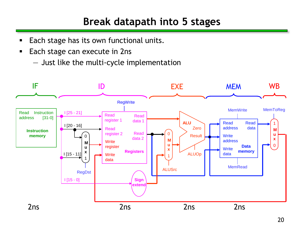### **Break datapath into 5 stages**

- **Each stage has its own functional units.**
- **Each stage can execute in 2ns** 
	- Just like the multi-cycle implementation

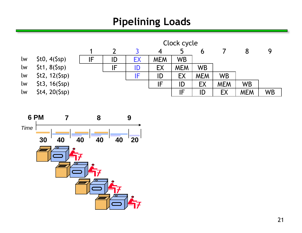### **Pipelining Loads**



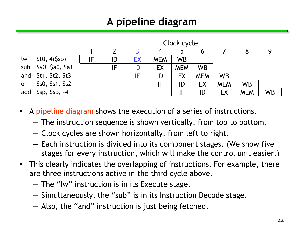## **A pipeline diagram**



- A pipeline diagram shows the execution of a series of instructions.
	- The instruction sequence is shown vertically, from top to bottom.
	- Clock cycles are shown horizontally, from left to right.
	- Each instruction is divided into its component stages. (We show five stages for every instruction, which will make the control unit easier.)
- **This clearly indicates the overlapping of instructions. For example, there** are three instructions active in the third cycle above.
	- The "lw" instruction is in its Execute stage.
	- Simultaneously, the "sub" is in its Instruction Decode stage.
	- Also, the "and" instruction is just being fetched.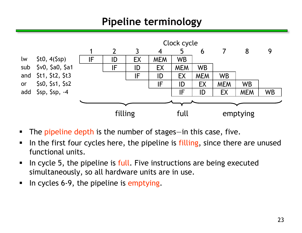### **Pipeline terminology**



- The pipeline depth is the number of stages—in this case, five.
- I In the first four cycles here, the pipeline is filling, since there are unused functional units.
- I In cycle 5, the pipeline is full. Five instructions are being executed simultaneously, so all hardware units are in use.
- In cycles 6-9, the pipeline is emptying.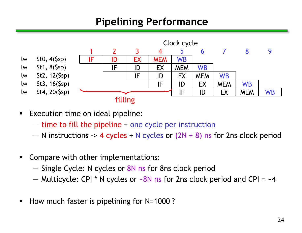### **Pipelining Performance**



- **Execution time on ideal pipeline:** 
	- time to fill the pipeline + one cycle per instruction
	- $-$  N instructions  $\rightarrow$  4 cycles + N cycles or (2N + 8) ns for 2ns clock period
- **Compare with other implementations:** 
	- Single Cycle: N cycles or 8N ns for 8ns clock period
	- Multicycle: CPI \* N cycles or  $-8N$  ns for 2ns clock period and CPI =  $-4$
- How much faster is pipelining for N=1000?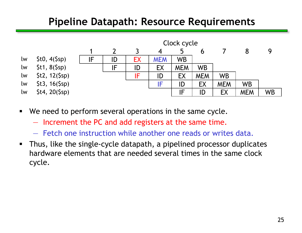#### **Pipeline Datapath: Resource Requirements**



- We need to perform several operations in the same cycle.
	- Increment the PC and add registers at the same time.
	- Fetch one instruction while another one reads or writes data.
- Thus, like the single-cycle datapath, a pipelined processor duplicates hardware elements that are needed several times in the same clock cycle.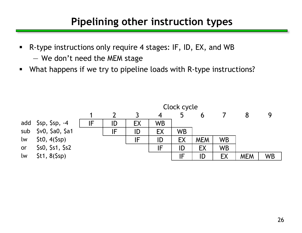#### **Pipelining other instruction types**

- R-type instructions only require 4 stages: IF, ID, EX, and WB — We don't need the MEM stage
- What happens if we try to pipeline loads with R-type instructions?

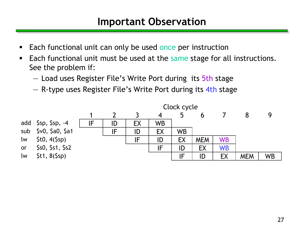#### **Important Observation**

- Each functional unit can only be used once per instruction
- Each functional unit must be used at the same stage for all instructions. See the problem if:
	- Load uses Register File's Write Port during its 5th stage
	- R-type uses Register File's Write Port during its 4th stage

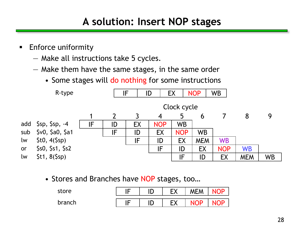### **A solution: Insert NOP stages**

- **Enforce uniformity** 
	- Make all instructions take 5 cycles.
	- Make them have the same stages, in the same order
		- Some stages will do nothing for some instructions



• Stores and Branches have NOP stages, too…

| store  |  | CV<br>ᄃᄉ       | <b>MEM</b> |  |
|--------|--|----------------|------------|--|
| branch |  | <b>CV</b><br>∧ |            |  |